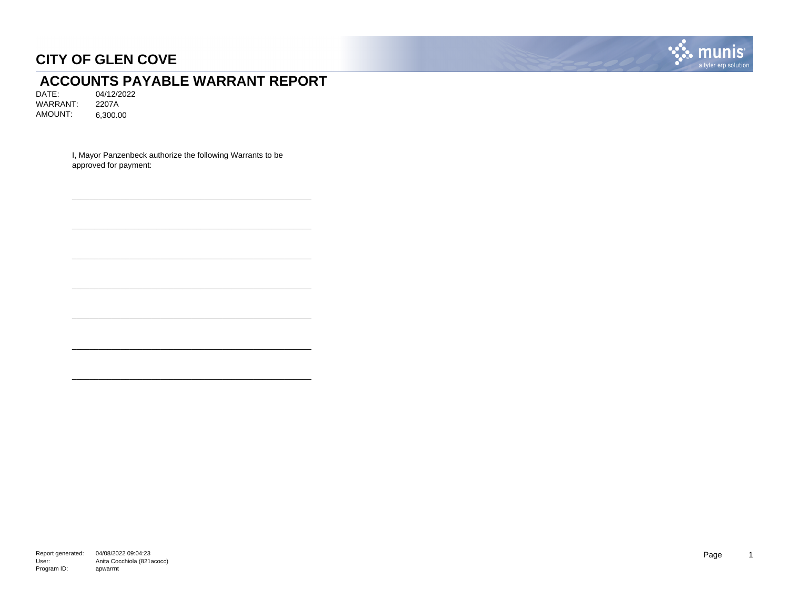

# **ACCOUNTS PAYABLE WARRANT REPORT**<br>DATE: 04/12/2022

04/12/2022<br>2207A WARRANT: AMOUNT: 6,300.00

> I, Mayor Panzenbeck authorize the following Warrants to be approved for payment:

\_\_\_\_\_\_\_\_\_\_\_\_\_\_\_\_\_\_\_\_\_\_\_\_\_\_\_\_\_\_\_\_\_\_\_\_\_\_\_\_\_\_\_\_\_\_\_\_\_\_\_\_\_\_

\_\_\_\_\_\_\_\_\_\_\_\_\_\_\_\_\_\_\_\_\_\_\_\_\_\_\_\_\_\_\_\_\_\_\_\_\_\_\_\_\_\_\_\_\_\_\_\_\_\_\_\_\_\_

\_\_\_\_\_\_\_\_\_\_\_\_\_\_\_\_\_\_\_\_\_\_\_\_\_\_\_\_\_\_\_\_\_\_\_\_\_\_\_\_\_\_\_\_\_\_\_\_\_\_\_\_\_\_

\_\_\_\_\_\_\_\_\_\_\_\_\_\_\_\_\_\_\_\_\_\_\_\_\_\_\_\_\_\_\_\_\_\_\_\_\_\_\_\_\_\_\_\_\_\_\_\_\_\_\_\_\_\_

\_\_\_\_\_\_\_\_\_\_\_\_\_\_\_\_\_\_\_\_\_\_\_\_\_\_\_\_\_\_\_\_\_\_\_\_\_\_\_\_\_\_\_\_\_\_\_\_\_\_\_\_\_\_

\_\_\_\_\_\_\_\_\_\_\_\_\_\_\_\_\_\_\_\_\_\_\_\_\_\_\_\_\_\_\_\_\_\_\_\_\_\_\_\_\_\_\_\_\_\_\_\_\_\_\_\_\_\_

\_\_\_\_\_\_\_\_\_\_\_\_\_\_\_\_\_\_\_\_\_\_\_\_\_\_\_\_\_\_\_\_\_\_\_\_\_\_\_\_\_\_\_\_\_\_\_\_\_\_\_\_\_\_

Report generated: 04/08/2022 09:04:23 User: Program ID: Anita Cocchiola (821acocc) apwarrnt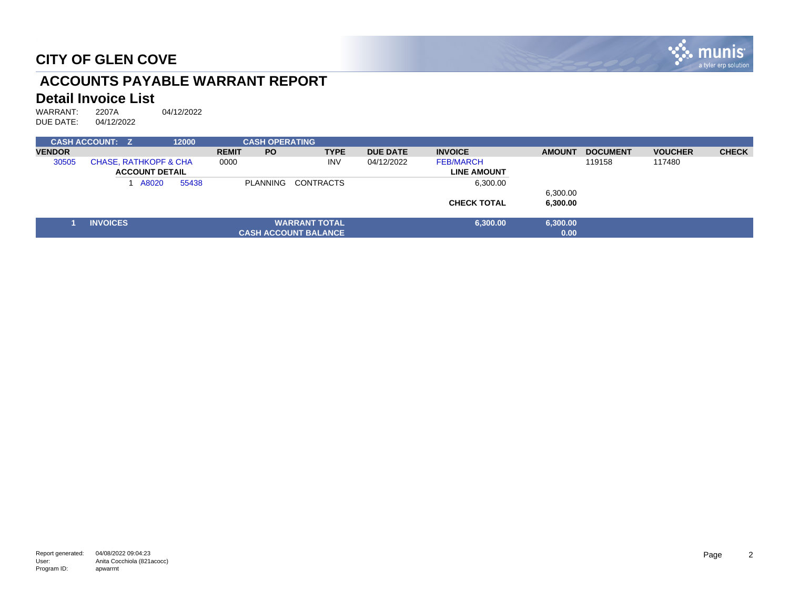

# **ACCOUNTS PAYABLE WARRANT REPORT**

#### **Detail Invoice List**

WARRANT: 2207A 04/12/2022<br>DUE DATE: 04/12/2022 DUE DATE:

|               | <b>CASH ACCOUNT: Z</b> |                                                           |       | 12000 |              | <b>CASH OPERATING</b> |                             |                 |                                        |               |                 |                |              |
|---------------|------------------------|-----------------------------------------------------------|-------|-------|--------------|-----------------------|-----------------------------|-----------------|----------------------------------------|---------------|-----------------|----------------|--------------|
| <b>VENDOR</b> |                        |                                                           |       |       | <b>REMIT</b> | <b>PO</b>             | <b>TYPE</b>                 | <b>DUE DATE</b> | <b>INVOICE</b>                         | <b>AMOUNT</b> | <b>DOCUMENT</b> | <b>VOUCHER</b> | <b>CHECK</b> |
| 30505         |                        | <b>CHASE, RATHKOPF &amp; CHA</b><br><b>ACCOUNT DETAIL</b> |       |       |              |                       | <b>INV</b>                  | 04/12/2022      | <b>FEB/MARCH</b><br><b>LINE AMOUNT</b> |               | 119158          | 117480         |              |
|               |                        |                                                           | A8020 | 55438 |              |                       | PLANNING CONTRACTS          |                 | 6,300.00                               | 6,300.00      |                 |                |              |
|               |                        |                                                           |       |       |              |                       |                             |                 | <b>CHECK TOTAL</b>                     | 6,300.00      |                 |                |              |
|               |                        |                                                           |       |       |              |                       |                             |                 |                                        |               |                 |                |              |
|               | <b>INVOICES</b>        |                                                           |       |       |              |                       | <b>WARRANT TOTAL</b>        |                 | 6,300.00                               | 6,300.00      |                 |                |              |
|               |                        |                                                           |       |       |              |                       | <b>CASH ACCOUNT BALANCE</b> |                 |                                        | 0.00          |                 |                |              |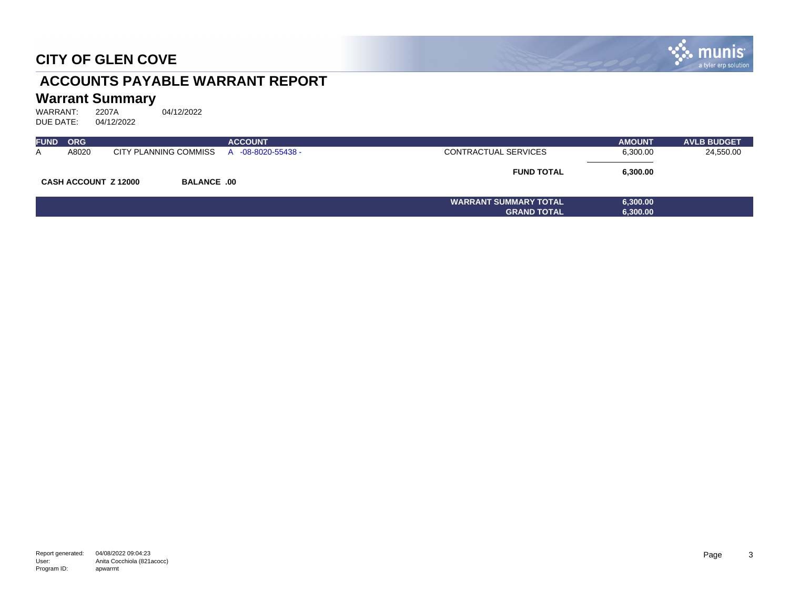

# **ACCOUNTS PAYABLE WARRANT REPORT**

# **Warrant Summary**<br>WARRANT: 2207A

WARRANT: 2207A 04/12/2022<br>DUE DATE: 04/12/2022 DUE DATE:

| <b>FUND</b> | <b>ORG</b>                  |                       | <b>ACCOUNT</b>     |                              | <b>AMOUNT</b> | <b>AVLB BUDGET</b> |
|-------------|-----------------------------|-----------------------|--------------------|------------------------------|---------------|--------------------|
| A           | A8020                       | CITY PLANNING COMMISS | A -08-8020-55438 - | CONTRACTUAL SERVICES         | 6,300.00      | 24,550.00          |
|             | <b>CASH ACCOUNT Z 12000</b> | <b>BALANCE .00</b>    |                    | <b>FUND TOTAL</b>            | 6,300.00      |                    |
|             |                             |                       |                    | <b>WARRANT SUMMARY TOTAL</b> | 6,300.00      |                    |
|             |                             |                       |                    | <b>GRAND TOTAL</b>           | 6,300.00      |                    |